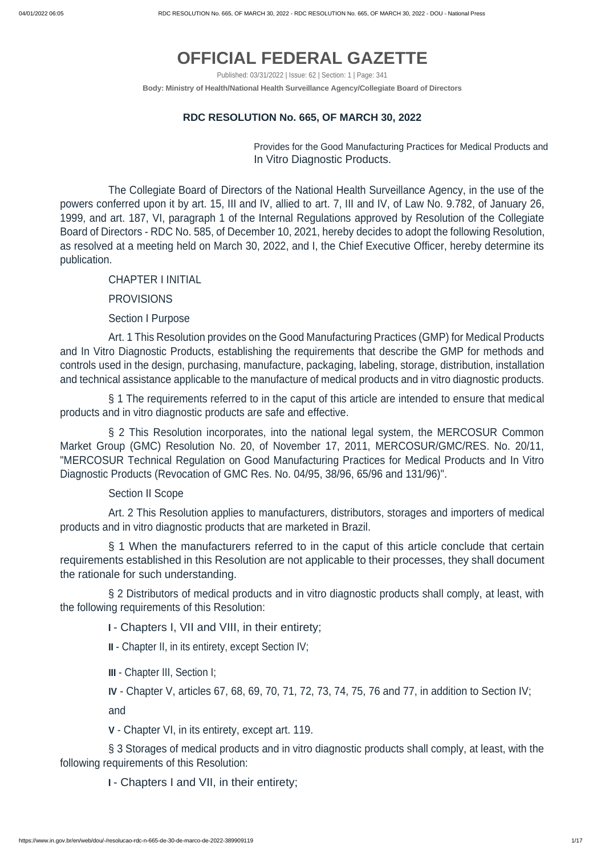# **OFFICIAL FEDERAL GAZETTE**

Published: 03/31/2022 | Issue: 62 | Section: 1 | Page: 341

**Body: Ministry of Health/National Health Surveillance Agency/Collegiate Board of Directors**

#### **RDC RESOLUTION No. 665, OF MARCH 30, 2022**

Provides for the Good Manufacturing Practices for Medical Products and In Vitro Diagnostic Products.

The Collegiate Board of Directors of the National Health Surveillance Agency, in the use of the powers conferred upon it by art. 15, III and IV, allied to art. 7, III and IV, of Law No. 9.782, of January 26, 1999, and art. 187, VI, paragraph 1 of the Internal Regulations approved by Resolution of the Collegiate Board of Directors - RDC No. 585, of December 10, 2021, hereby decides to adopt the following Resolution, as resolved at a meeting held on March 30, 2022, and I, the Chief Executive Officer, hereby determine its publication.

CHAPTER I INITIAL

PROVISIONS

Section I Purpose

Art. 1 This Resolution provides on the Good Manufacturing Practices (GMP) for Medical Products and In Vitro Diagnostic Products, establishing the requirements that describe the GMP for methods and controls used in the design, purchasing, manufacture, packaging, labeling, storage, distribution, installation and technical assistance applicable to the manufacture of medical products and in vitro diagnostic products.

§ 1 The requirements referred to in the caput of this article are intended to ensure that medical products and in vitro diagnostic products are safe and effective.

§ 2 This Resolution incorporates, into the national legal system, the MERCOSUR Common Market Group (GMC) Resolution No. 20, of November 17, 2011, MERCOSUR/GMC/RES. No. 20/11, "MERCOSUR Technical Regulation on Good Manufacturing Practices for Medical Products and In Vitro Diagnostic Products (Revocation of GMC Res. No. 04/95, 38/96, 65/96 and 131/96)".

Section II Scope

Art. 2 This Resolution applies to manufacturers, distributors, storages and importers of medical products and in vitro diagnostic products that are marketed in Brazil.

§ 1 When the manufacturers referred to in the caput of this article conclude that certain requirements established in this Resolution are not applicable to their processes, they shall document the rationale for such understanding.

§ 2 Distributors of medical products and in vitro diagnostic products shall comply, at least, with the following requirements of this Resolution:

<sup>I</sup> - Chapters I, VII and VIII, in their entirety;

II - Chapter II, in its entirety, except Section IV;

# III - Chapter III, Section I;

**IV** - Chapter V, articles 67, 68, 69, 70, 71, 72, 73, 74, 75, 76 and 77, in addition to Section IV; and

**V** - Chapter VI, in its entirety, except art. 119.

§ 3 Storages of medical products and in vitro diagnostic products shall comply, at least, with the following requirements of this Resolution:

<sup>I</sup> - Chapters I and VII, in their entirety;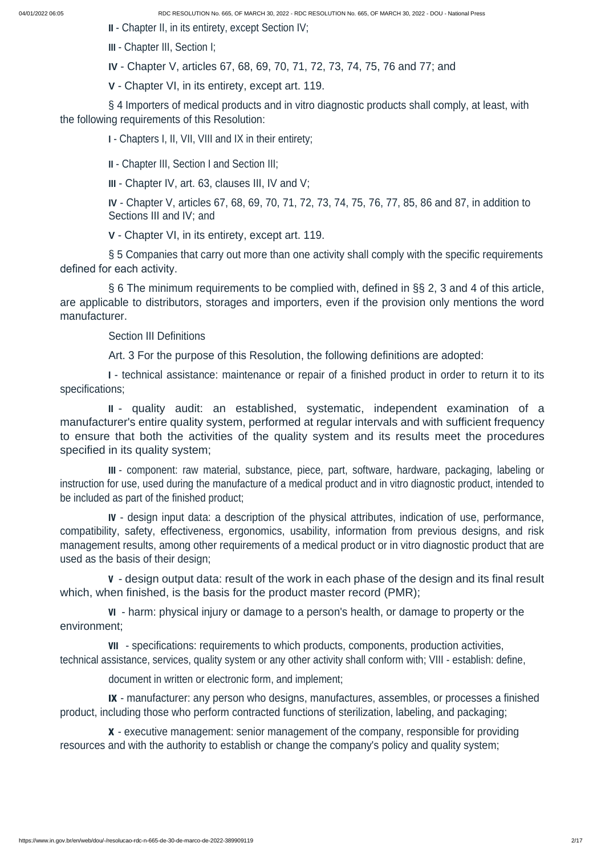II - Chapter II, in its entirety, except Section IV;

§ 4 Importers of medical products and in vitro diagnostic products shall comply, at least, with the following requirements of this Resolution:

**III** - Chapter III, Section I;

**IV** - Chapter V, articles 67, 68, 69, 70, 71, 72, 73, 74, 75, 76 and 77; and

**V** - Chapter VI, in its entirety, except art. 119.

**I** - Chapters I, II, VII, VIII and IX in their entirety;

**II** - Chapter III, Section I and Section III;

**III** - Chapter IV, art. 63, clauses III, IV and V;

**IV** - Chapter V, articles 67, 68, 69, 70, 71, 72, 73, 74, 75, 76, 77, 85, 86 and 87, in addition to Sections III and IV; and

**V** - Chapter VI, in its entirety, except art. 119.

§ 5 Companies that carry out more than one activity shall comply with the specific requirements defined for each activity.

§ 6 The minimum requirements to be complied with, defined in §§ 2, 3 and 4 of this article, are applicable to distributors, storages and importers, even if the provision only mentions the word manufacturer.

Section III Definitions

Art. 3 For the purpose of this Resolution, the following definitions are adopted:

<sup>I</sup> - technical assistance: maintenance or repair of a finished product in order to return it to its specifications;

II - quality audit: an established, systematic, independent examination of a manufacturer's entire quality system, performed at regular intervals and with sufficient frequency to ensure that both the activities of the quality system and its results meet the procedures specified in its quality system;

III - component: raw material, substance, piece, part, software, hardware, packaging, labeling or instruction for use, used during the manufacture of a medical product and in vitro diagnostic product, intended to be included as part of the finished product;

IV - design input data: a description of the physical attributes, indication of use, performance, compatibility, safety, effectiveness, ergonomics, usability, information from previous designs, and risk management results, among other requirements of a medical product or in vitro diagnostic product that are used as the basis of their design;

<sup>V</sup> - design output data: result of the work in each phase of the design and its final result which, when finished, is the basis for the product master record (PMR);

VI - harm: physical injury or damage to a person's health, or damage to property or the environment;

VII - specifications: requirements to which products, components, production activities, technical assistance, services, quality system or any other activity shall conform with; VIII - establish: define, document in written or electronic form, and implement;

IX - manufacturer: any person who designs, manufactures, assembles, or processes a finished product, including those who perform contracted functions of sterilization, labeling, and packaging;

X - executive management: senior management of the company, responsible for providing resources and with the authority to establish or change the company's policy and quality system;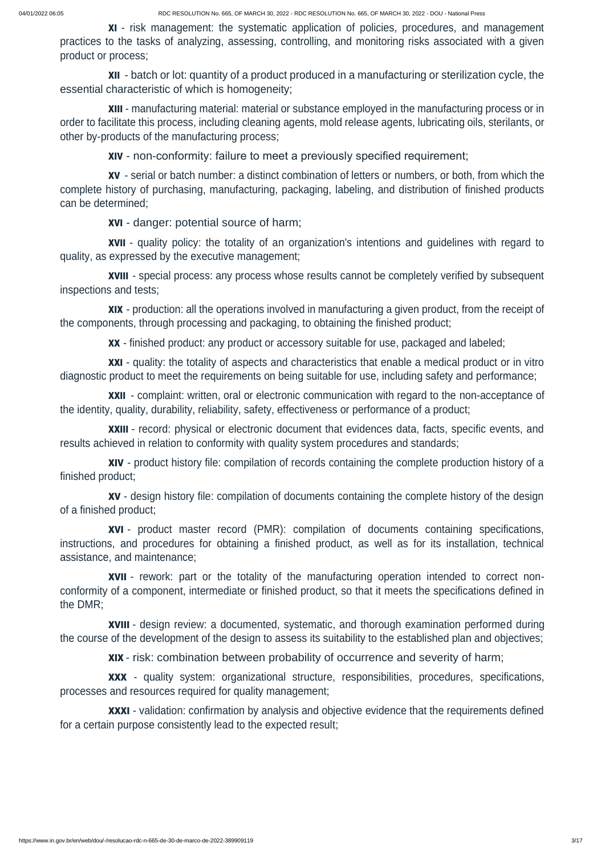XI - risk management: the systematic application of policies, procedures, and management practices to the tasks of analyzing, assessing, controlling, and monitoring risks associated with a given product or process;

XII - batch or lot: quantity of a product produced in a manufacturing or sterilization cycle, the essential characteristic of which is homogeneity;

XIII - manufacturing material: material or substance employed in the manufacturing process or in order to facilitate this process, including cleaning agents, mold release agents, lubricating oils, sterilants, or other by-products of the manufacturing process;

XIV - non-conformity: failure to meet a previously specified requirement;

XXI - quality: the totality of aspects and characteristics that enable a medical product or in vitro diagnostic product to meet the requirements on being suitable for use, including safety and performance;

XV - serial or batch number: a distinct combination of letters or numbers, or both, from which the complete history of purchasing, manufacturing, packaging, labeling, and distribution of finished products can be determined;

XVI - danger: potential source of harm;

XVII - quality policy: the totality of an organization's intentions and guidelines with regard to quality, as expressed by the executive management;

XVIII - special process: any process whose results cannot be completely verified by subsequent inspections and tests;

XIX - production: all the operations involved in manufacturing a given product, from the receipt of the components, through processing and packaging, to obtaining the finished product;

XX - finished product: any product or accessory suitable for use, packaged and labeled;

**XXXI** - validation: confirmation by analysis and objective evidence that the requirements defined for a certain purpose consistently lead to the expected result;

XXII - complaint: written, oral or electronic communication with regard to the non-acceptance of the identity, quality, durability, reliability, safety, effectiveness or performance of a product;

XXIII - record: physical or electronic document that evidences data, facts, specific events, and results achieved in relation to conformity with quality system procedures and standards;

XIV - product history file: compilation of records containing the complete production history of a finished product;

XV - design history file: compilation of documents containing the complete history of the design of a finished product;

XVI - product master record (PMR): compilation of documents containing specifications, instructions, and procedures for obtaining a finished product, as well as for its installation, technical assistance, and maintenance;

XVII - rework: part or the totality of the manufacturing operation intended to correct nonconformity of a component, intermediate or finished product, so that it meets the specifications defined in the DMR;

XVIII - design review: a documented, systematic, and thorough examination performed during the course of the development of the design to assess its suitability to the established plan and objectives;

XIX - risk: combination between probability of occurrence and severity of harm;

XXX - quality system: organizational structure, responsibilities, procedures, specifications, processes and resources required for quality management;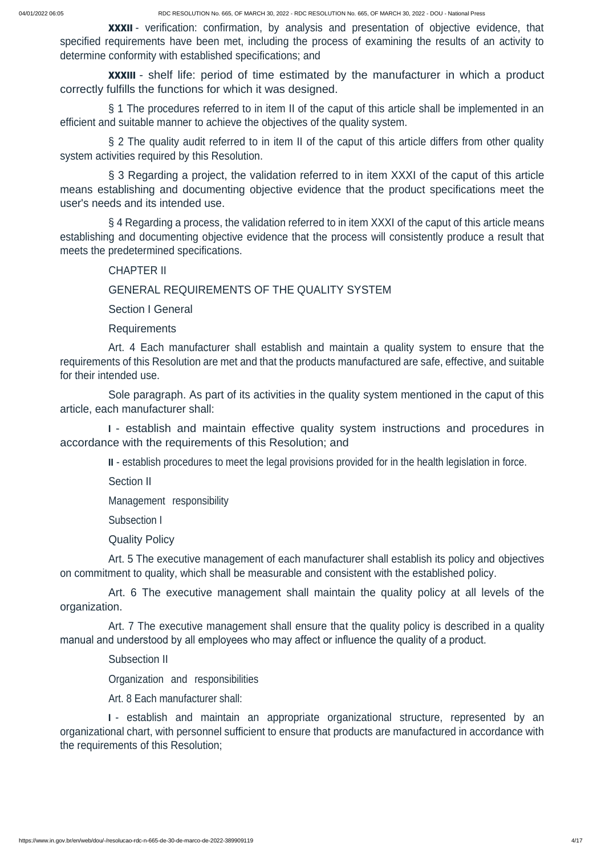**XXXII** - verification: confirmation, by analysis and presentation of objective evidence, that specified requirements have been met, including the process of examining the results of an activity to determine conformity with established specifications; and

**XXXIII** - shelf life: period of time estimated by the manufacturer in which a product correctly fulfills the functions for which it was designed.

§ 3 Regarding a project, the validation referred to in item XXXI of the caput of this article means establishing and documenting objective evidence that the product specifications meet the user's needs and its intended use.

§ 4 Regarding a process, the validation referred to in item XXXI of the caput of this article means establishing and documenting objective evidence that the process will consistently produce a result that meets the predetermined specifications.

§ 1 The procedures referred to in item II of the caput of this article shall be implemented in an efficient and suitable manner to achieve the objectives of the quality system.

§ 2 The quality audit referred to in item II of the caput of this article differs from other quality system activities required by this Resolution.

# CHAPTER II

# GENERAL REQUIREMENTS OF THE QUALITY SYSTEM

Section I General

**Requirements** 

Art. 4 Each manufacturer shall establish and maintain a quality system to ensure that the requirements of this Resolution are met and that the products manufactured are safe, effective, and suitable for their intended use.

Sole paragraph. As part of its activities in the quality system mentioned in the caput of this article, each manufacturer shall:

<sup>I</sup> - establish and maintain effective quality system instructions and procedures in accordance with the requirements of this Resolution; and

II - establish procedures to meet the legal provisions provided for in the health legislation in force.

Section II

Management responsibility

Subsection I

Quality Policy

Art. 5 The executive management of each manufacturer shall establish its policy and objectives on commitment to quality, which shall be measurable and consistent with the established policy.

Art. 6 The executive management shall maintain the quality policy at all levels of the organization.

Art. 7 The executive management shall ensure that the quality policy is described in a quality manual and understood by all employees who may affect or influence the quality of a product.

Subsection II

Organization and responsibilities

Art. 8 Each manufacturer shall:

<sup>I</sup> - establish and maintain an appropriate organizational structure, represented by an organizational chart, with personnel sufficient to ensure that products are manufactured in accordance with the requirements of this Resolution;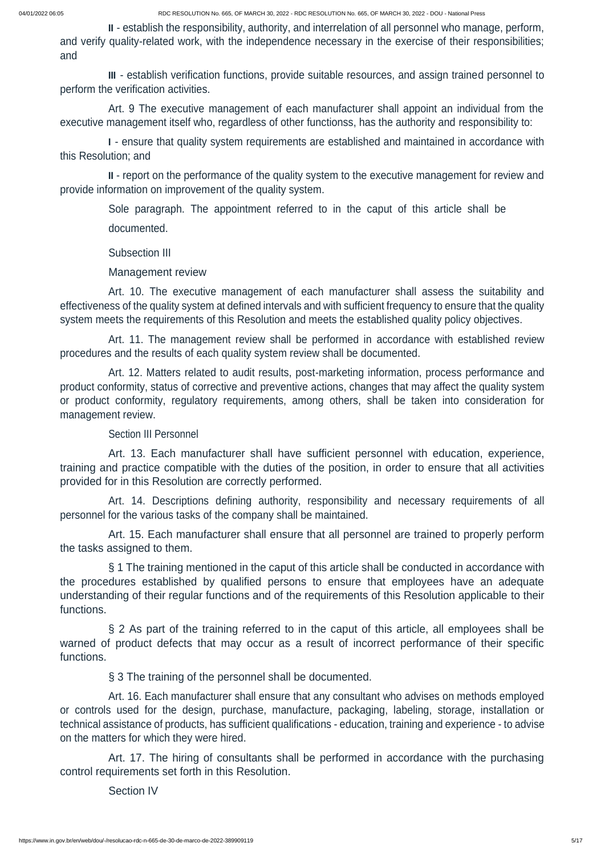II - establish the responsibility, authority, and interrelation of all personnel who manage, perform, and verify quality-related work, with the independence necessary in the exercise of their responsibilities; and

III - establish verification functions, provide suitable resources, and assign trained personnel to perform the verification activities.

Art. 9 The executive management of each manufacturer shall appoint an individual from the executive management itself who, regardless of other functionss, has the authority and responsibility to:

<sup>I</sup> - ensure that quality system requirements are established and maintained in accordance with this Resolution; and

II - report on the performance of the quality system to the executive management for review and provide information on improvement of the quality system.

Sole paragraph. The appointment referred to in the caput of this article shall be documented.

Subsection III

Management review

Art. 10. The executive management of each manufacturer shall assess the suitability and effectiveness of the quality system at defined intervals and with sufficient frequency to ensure that the quality system meets the requirements of this Resolution and meets the established quality policy objectives.

Art. 11. The management review shall be performed in accordance with established review procedures and the results of each quality system review shall be documented.

Art. 12. Matters related to audit results, post-marketing information, process performance and product conformity, status of corrective and preventive actions, changes that may affect the quality system or product conformity, regulatory requirements, among others, shall be taken into consideration for management review.

# Section III Personnel

Art. 13. Each manufacturer shall have sufficient personnel with education, experience, training and practice compatible with the duties of the position, in order to ensure that all activities provided for in this Resolution are correctly performed.

Art. 14. Descriptions defining authority, responsibility and necessary requirements of all personnel for the various tasks of the company shall be maintained.

Art. 15. Each manufacturer shall ensure that all personnel are trained to properly perform the tasks assigned to them.

§ 1 The training mentioned in the caput of this article shall be conducted in accordance with the procedures established by qualified persons to ensure that employees have an adequate understanding of their regular functions and of the requirements of this Resolution applicable to their functions.

§ 2 As part of the training referred to in the caput of this article, all employees shall be warned of product defects that may occur as a result of incorrect performance of their specific functions.

# § 3 The training of the personnel shall be documented.

Art. 16. Each manufacturer shall ensure that any consultant who advises on methods employed or controls used for the design, purchase, manufacture, packaging, labeling, storage, installation or technical assistance of products, has sufficient qualifications - education, training and experience - to advise on the matters for which they were hired.

Art. 17. The hiring of consultants shall be performed in accordance with the purchasing control requirements set forth in this Resolution.

Section IV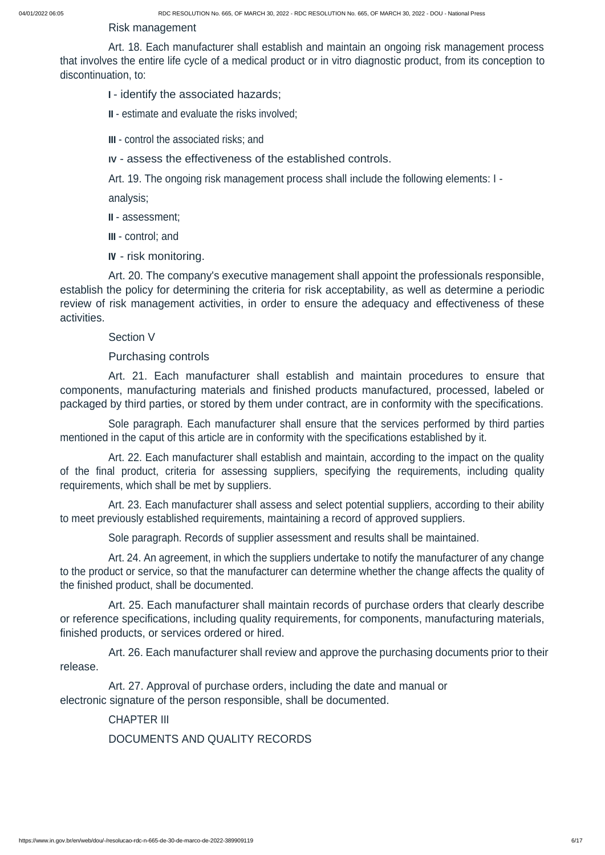Risk management

Art. 18. Each manufacturer shall establish and maintain an ongoing risk management process that involves the entire life cycle of a medical product or in vitro diagnostic product, from its conception to discontinuation, to:

<sup>I</sup> - identify the associated hazards;

II - estimate and evaluate the risks involved;

III - control the associated risks; and

**IV** - assess the effectiveness of the established controls.

Art. 19. The ongoing risk management process shall include the following elements: I -

analysis;

II - assessment;

III - control; and

IV - risk monitoring.

Art. 20. The company's executive management shall appoint the professionals responsible, establish the policy for determining the criteria for risk acceptability, as well as determine a periodic review of risk management activities, in order to ensure the adequacy and effectiveness of these activities.

Section V

Purchasing controls

Art. 21. Each manufacturer shall establish and maintain procedures to ensure that components, manufacturing materials and finished products manufactured, processed, labeled or packaged by third parties, or stored by them under contract, are in conformity with the specifications.

Sole paragraph. Each manufacturer shall ensure that the services performed by third parties mentioned in the caput of this article are in conformity with the specifications established by it.

Art. 22. Each manufacturer shall establish and maintain, according to the impact on the quality of the final product, criteria for assessing suppliers, specifying the requirements, including quality requirements, which shall be met by suppliers.

Art. 23. Each manufacturer shall assess and select potential suppliers, according to their ability to meet previously established requirements, maintaining a record of approved suppliers.

Sole paragraph. Records of supplier assessment and results shall be maintained.

Art. 24. An agreement, in which the suppliers undertake to notify the manufacturer of any change to the product or service, so that the manufacturer can determine whether the change affects the quality of the finished product, shall be documented.

Art. 25. Each manufacturer shall maintain records of purchase orders that clearly describe or reference specifications, including quality requirements, for components, manufacturing materials, finished products, or services ordered or hired.

Art. 26. Each manufacturer shall review and approve the purchasing documents prior to their release.

Art. 27. Approval of purchase orders, including the date and manual or electronic signature of the person responsible, shall be documented.

CHAPTER III

DOCUMENTS AND QUALITY RECORDS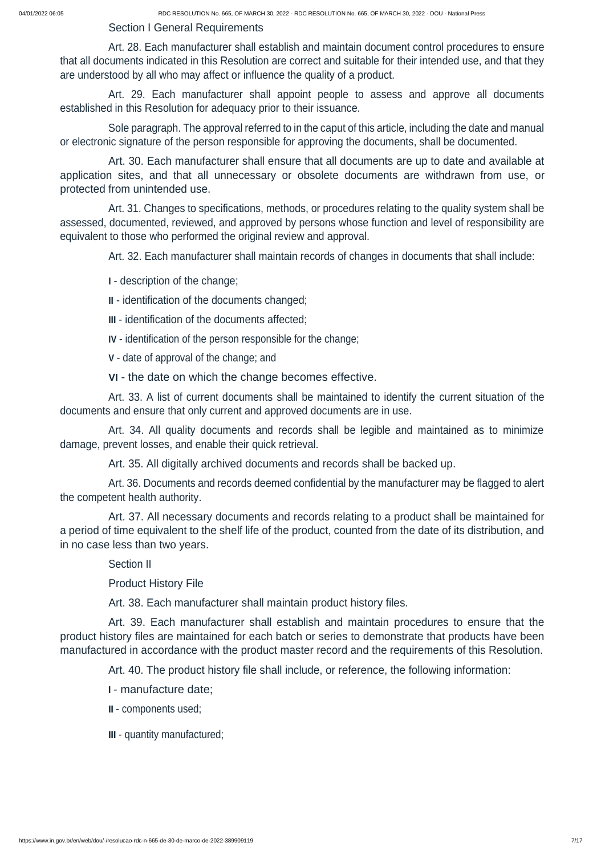Section I General Requirements

Art. 28. Each manufacturer shall establish and maintain document control procedures to ensure that all documents indicated in this Resolution are correct and suitable for their intended use, and that they are understood by all who may affect or influence the quality of a product.

Art. 29. Each manufacturer shall appoint people to assess and approve all documents established in this Resolution for adequacy prior to their issuance.

Sole paragraph. The approval referred to in the caput of this article, including the date and manual or electronic signature of the person responsible for approving the documents, shall be documented.

Art. 30. Each manufacturer shall ensure that all documents are up to date and available at application sites, and that all unnecessary or obsolete documents are withdrawn from use, or protected from unintended use.

Art. 31. Changes to specifications, methods, or procedures relating to the quality system shall be assessed, documented, reviewed, and approved by persons whose function and level of responsibility are equivalent to those who performed the original review and approval.

Art. 32. Each manufacturer shall maintain records of changes in documents that shall include:

**I** - description of the change;

**II** - identification of the documents changed;

**III** - identification of the documents affected;

**IV** - identification of the person responsible for the change;

**V** - date of approval of the change; and

**VI** - the date on which the change becomes effective.

Art. 33. A list of current documents shall be maintained to identify the current situation of the documents and ensure that only current and approved documents are in use.

Art. 34. All quality documents and records shall be legible and maintained as to minimize damage, prevent losses, and enable their quick retrieval.

Art. 35. All digitally archived documents and records shall be backed up.

Art. 36. Documents and records deemed confidential by the manufacturer may be flagged to alert the competent health authority.

Art. 37. All necessary documents and records relating to a product shall be maintained for a period of time equivalent to the shelf life of the product, counted from the date of its distribution, and in no case less than two years.

Section II

Product History File

Art. 38. Each manufacturer shall maintain product history files.

Art. 39. Each manufacturer shall establish and maintain procedures to ensure that the product history files are maintained for each batch or series to demonstrate that products have been

manufactured in accordance with the product master record and the requirements of this Resolution.

Art. 40. The product history file shall include, or reference, the following information:

<sup>I</sup> - manufacture date;

II - components used;

III - quantity manufactured;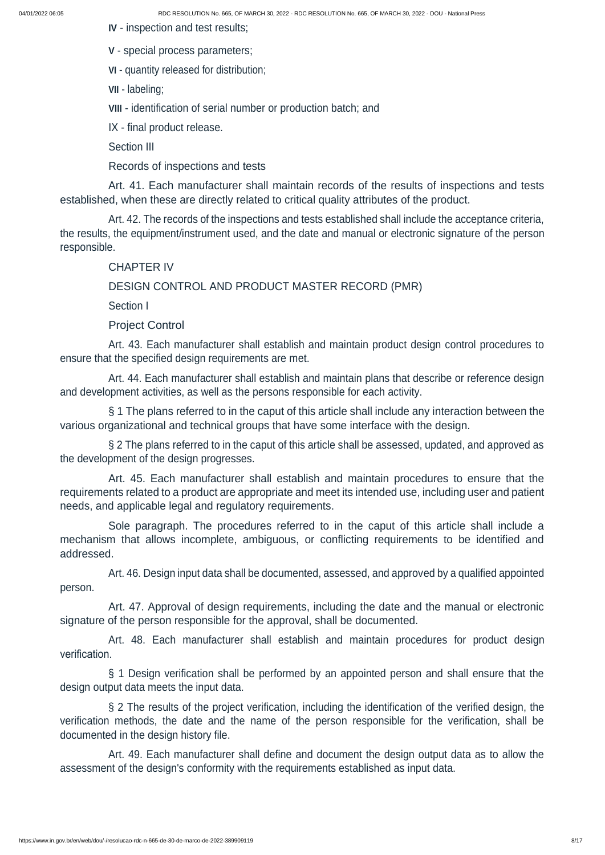**IV** - inspection and test results;

**V** - special process parameters;

**VI** - quantity released for distribution;

**VII** - labeling;

**VIII** - identification of serial number or production batch; and

IX - final product release.

Section III

Records of inspections and tests

Art. 41. Each manufacturer shall maintain records of the results of inspections and tests established, when these are directly related to critical quality attributes of the product.

Art. 42. The records of the inspections and tests established shall include the acceptance criteria, the results, the equipment/instrument used, and the date and manual or electronic signature of the person responsible.

§ 2 The plans referred to in the caput of this article shall be assessed, updated, and approved as the development of the design progresses.

### CHAPTER IV

### DESIGN CONTROL AND PRODUCT MASTER RECORD (PMR)

Section I

Project Control

Art. 43. Each manufacturer shall establish and maintain product design control procedures to ensure that the specified design requirements are met.

Art. 44. Each manufacturer shall establish and maintain plans that describe or reference design and development activities, as well as the persons responsible for each activity.

§ 1 The plans referred to in the caput of this article shall include any interaction between the various organizational and technical groups that have some interface with the design.

Art. 45. Each manufacturer shall establish and maintain procedures to ensure that the requirements related to a product are appropriate and meet its intended use, including user and patient needs, and applicable legal and regulatory requirements.

Sole paragraph. The procedures referred to in the caput of this article shall include a mechanism that allows incomplete, ambiguous, or conflicting requirements to be identified and addressed.

Art. 46. Design input data shall be documented, assessed, and approved by a qualified appointed person.

Art. 47. Approval of design requirements, including the date and the manual or electronic signature of the person responsible for the approval, shall be documented.

Art. 48. Each manufacturer shall establish and maintain procedures for product design

verification.

§ 1 Design verification shall be performed by an appointed person and shall ensure that the design output data meets the input data.

§ 2 The results of the project verification, including the identification of the verified design, the verification methods, the date and the name of the person responsible for the verification, shall be documented in the design history file.

Art. 49. Each manufacturer shall define and document the design output data as to allow the assessment of the design's conformity with the requirements established as input data.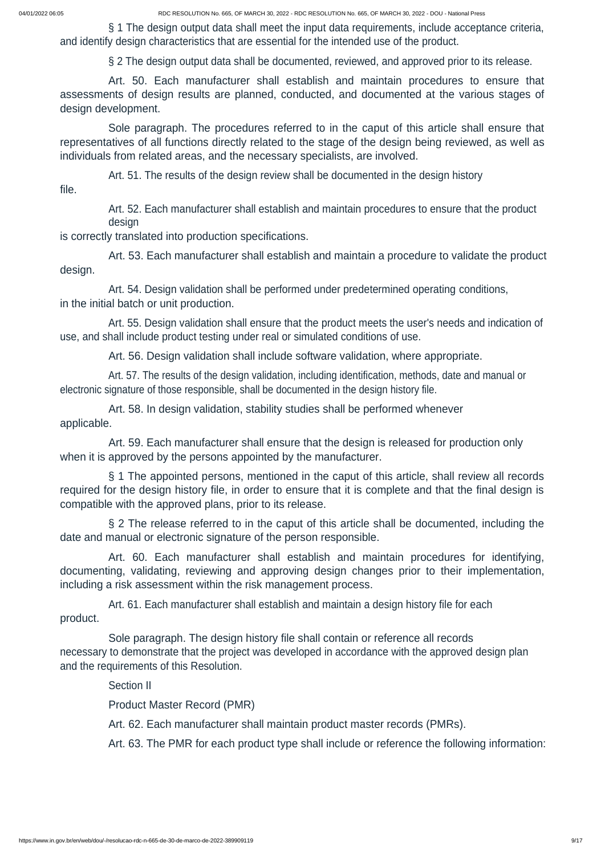§ 1 The design output data shall meet the input data requirements, include acceptance criteria, and identify design characteristics that are essential for the intended use of the product.

§ 2 The design output data shall be documented, reviewed, and approved prior to its release.

Art. 50. Each manufacturer shall establish and maintain procedures to ensure that assessments of design results are planned, conducted, and documented at the various stages of design development.

Sole paragraph. The procedures referred to in the caput of this article shall ensure that representatives of all functions directly related to the stage of the design being reviewed, as well as individuals from related areas, and the necessary specialists, are involved.

Art. 51. The results of the design review shall be documented in the design history file.

> Art. 52. Each manufacturer shall establish and maintain procedures to ensure that the product design

is correctly translated into production specifications.

Art. 53. Each manufacturer shall establish and maintain a procedure to validate the product design.

Art. 54. Design validation shall be performed under predetermined operating conditions, in the initial batch or unit production.

Art. 55. Design validation shall ensure that the product meets the user's needs and indication of use, and shall include product testing under real or simulated conditions of use.

Art. 56. Design validation shall include software validation, where appropriate.

Art. 57. The results of the design validation, including identification, methods, date and manual or electronic signature of those responsible, shall be documented in the design history file.

Art. 58. In design validation, stability studies shall be performed whenever applicable.

Art. 59. Each manufacturer shall ensure that the design is released for production only when it is approved by the persons appointed by the manufacturer.

§ 1 The appointed persons, mentioned in the caput of this article, shall review all records required for the design history file, in order to ensure that it is complete and that the final design is compatible with the approved plans, prior to its release.

§ 2 The release referred to in the caput of this article shall be documented, including the date and manual or electronic signature of the person responsible.

Art. 60. Each manufacturer shall establish and maintain procedures for identifying, documenting, validating, reviewing and approving design changes prior to their implementation, including a risk assessment within the risk management process.

Art. 61. Each manufacturer shall establish and maintain a design history file for each product.

Sole paragraph. The design history file shall contain or reference all records

necessary to demonstrate that the project was developed in accordance with the approved design plan and the requirements of this Resolution.

Section II

Product Master Record (PMR)

Art. 62. Each manufacturer shall maintain product master records (PMRs).

Art. 63. The PMR for each product type shall include or reference the following information: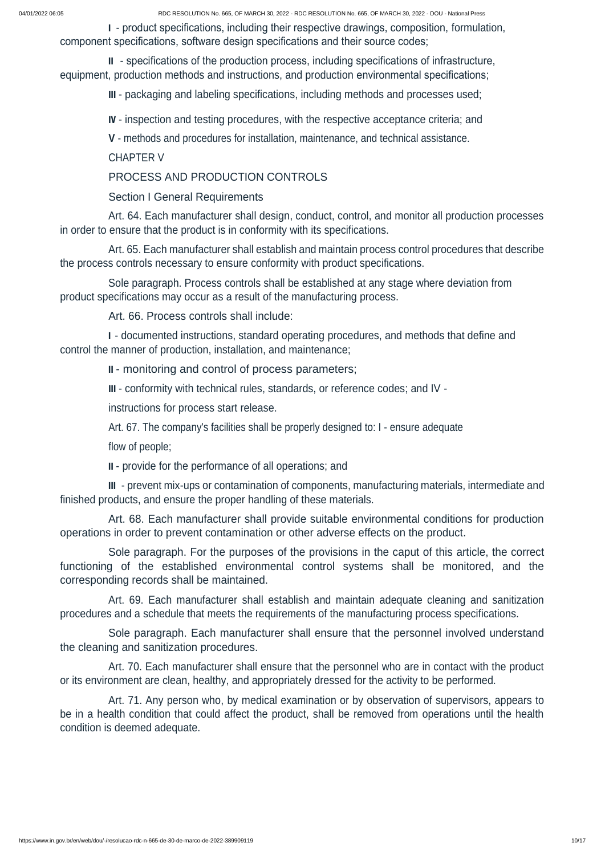<sup>I</sup> - product specifications, including their respective drawings, composition, formulation, component specifications, software design specifications and their source codes;

II - specifications of the production process, including specifications of infrastructure, equipment, production methods and instructions, and production environmental specifications;

III - packaging and labeling specifications, including methods and processes used;

IV - inspection and testing procedures, with the respective acceptance criteria; and

**V** - methods and procedures for installation, maintenance, and technical assistance.

CHAPTER V

PROCESS AND PRODUCTION CONTROLS

Section I General Requirements

Art. 64. Each manufacturer shall design, conduct, control, and monitor all production processes in order to ensure that the product is in conformity with its specifications.

Art. 65. Each manufacturer shall establish and maintain process control procedures that describe the process controls necessary to ensure conformity with product specifications.

Sole paragraph. Process controls shall be established at any stage where deviation from product specifications may occur as a result of the manufacturing process.

Art. 66. Process controls shall include:

<sup>I</sup> - documented instructions, standard operating procedures, and methods that define and control the manner of production, installation, and maintenance;

II - monitoring and control of process parameters;

III - conformity with technical rules, standards, or reference codes; and IV -

instructions for process start release.

Art. 67. The company's facilities shall be properly designed to: I - ensure adequate

flow of people;

II - provide for the performance of all operations; and

III - prevent mix-ups or contamination of components, manufacturing materials, intermediate and finished products, and ensure the proper handling of these materials.

Art. 68. Each manufacturer shall provide suitable environmental conditions for production operations in order to prevent contamination or other adverse effects on the product.

Sole paragraph. For the purposes of the provisions in the caput of this article, the correct functioning of the established environmental control systems shall be monitored, and the corresponding records shall be maintained.

Art. 69. Each manufacturer shall establish and maintain adequate cleaning and sanitization procedures and a schedule that meets the requirements of the manufacturing process specifications.

Sole paragraph. Each manufacturer shall ensure that the personnel involved understand

#### the cleaning and sanitization procedures.

Art. 70. Each manufacturer shall ensure that the personnel who are in contact with the product or its environment are clean, healthy, and appropriately dressed for the activity to be performed.

Art. 71. Any person who, by medical examination or by observation of supervisors, appears to be in a health condition that could affect the product, shall be removed from operations until the health condition is deemed adequate.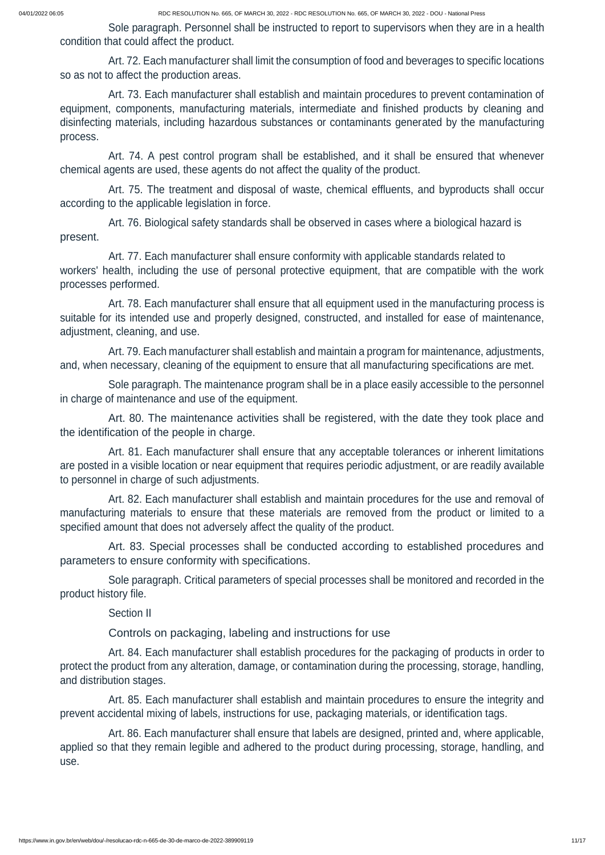Sole paragraph. Personnel shall be instructed to report to supervisors when they are in a health condition that could affect the product.

Art. 72. Each manufacturer shall limit the consumption of food and beverages to specific locations so as not to affect the production areas.

Art. 73. Each manufacturer shall establish and maintain procedures to prevent contamination of equipment, components, manufacturing materials, intermediate and finished products by cleaning and disinfecting materials, including hazardous substances or contaminants generated by the manufacturing process.

Art. 74. A pest control program shall be established, and it shall be ensured that whenever chemical agents are used, these agents do not affect the quality of the product.

Art. 75. The treatment and disposal of waste, chemical effluents, and byproducts shall occur according to the applicable legislation in force.

Art. 76. Biological safety standards shall be observed in cases where a biological hazard is present.

Art. 77. Each manufacturer shall ensure conformity with applicable standards related to workers' health, including the use of personal protective equipment, that are compatible with the work processes performed.

Art. 78. Each manufacturer shall ensure that all equipment used in the manufacturing process is suitable for its intended use and properly designed, constructed, and installed for ease of maintenance, adjustment, cleaning, and use.

Art. 79. Each manufacturer shall establish and maintain a program for maintenance, adjustments, and, when necessary, cleaning of the equipment to ensure that all manufacturing specifications are met.

Sole paragraph. The maintenance program shall be in a place easily accessible to the personnel in charge of maintenance and use of the equipment.

Art. 80. The maintenance activities shall be registered, with the date they took place and the identification of the people in charge.

Art. 81. Each manufacturer shall ensure that any acceptable tolerances or inherent limitations are posted in a visible location or near equipment that requires periodic adjustment, or are readily available to personnel in charge of such adjustments.

Art. 82. Each manufacturer shall establish and maintain procedures for the use and removal of manufacturing materials to ensure that these materials are removed from the product or limited to a specified amount that does not adversely affect the quality of the product.

Art. 83. Special processes shall be conducted according to established procedures and parameters to ensure conformity with specifications.

Sole paragraph. Critical parameters of special processes shall be monitored and recorded in the product history file.

Section II

Controls on packaging, labeling and instructions for use

Art. 84. Each manufacturer shall establish procedures for the packaging of products in order to protect the product from any alteration, damage, or contamination during the processing, storage, handling, and distribution stages.

Art. 85. Each manufacturer shall establish and maintain procedures to ensure the integrity and prevent accidental mixing of labels, instructions for use, packaging materials, or identification tags.

Art. 86. Each manufacturer shall ensure that labels are designed, printed and, where applicable, applied so that they remain legible and adhered to the product during processing, storage, handling, and use.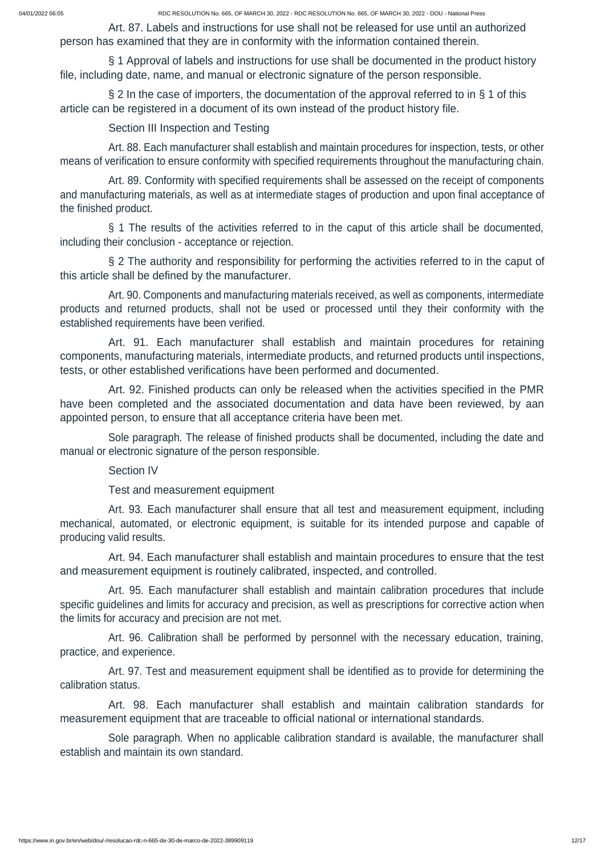Art. 87. Labels and instructions for use shall not be released for use until an authorized person has examined that they are in conformity with the information contained therein.

§ 2 In the case of importers, the documentation of the approval referred to in § 1 of this article can be registered in a document of its own instead of the product history file.

§ 1 Approval of labels and instructions for use shall be documented in the product history file, including date, name, and manual or electronic signature of the person responsible.

Section III Inspection and Testing

Art. 88. Each manufacturer shall establish and maintain procedures for inspection, tests, or other means of verification to ensure conformity with specified requirements throughout the manufacturing chain.

Art. 89. Conformity with specified requirements shall be assessed on the receipt of components and manufacturing materials, as well as at intermediate stages of production and upon final acceptance of the finished product.

§ 1 The results of the activities referred to in the caput of this article shall be documented, including their conclusion - acceptance or rejection.

§ 2 The authority and responsibility for performing the activities referred to in the caput of this article shall be defined by the manufacturer.

Art. 90. Components and manufacturing materials received, as well as components, intermediate products and returned products, shall not be used or processed until they their conformity with the established requirements have been verified.

Art. 91. Each manufacturer shall establish and maintain procedures for retaining components, manufacturing materials, intermediate products, and returned products until inspections, tests, or other established verifications have been performed and documented.

Art. 92. Finished products can only be released when the activities specified in the PMR have been completed and the associated documentation and data have been reviewed, by aan appointed person, to ensure that all acceptance criteria have been met.

Sole paragraph. The release of finished products shall be documented, including the date and manual or electronic signature of the person responsible.

Section IV

Test and measurement equipment

Art. 93. Each manufacturer shall ensure that all test and measurement equipment, including mechanical, automated, or electronic equipment, is suitable for its intended purpose and capable of producing valid results.

Art. 94. Each manufacturer shall establish and maintain procedures to ensure that the test and measurement equipment is routinely calibrated, inspected, and controlled.

Art. 95. Each manufacturer shall establish and maintain calibration procedures that include specific guidelines and limits for accuracy and precision, as well as prescriptions for corrective action when the limits for accuracy and precision are not met.

Art. 96. Calibration shall be performed by personnel with the necessary education, training,

practice, and experience.

Art. 97. Test and measurement equipment shall be identified as to provide for determining the calibration status.

Art. 98. Each manufacturer shall establish and maintain calibration standards for measurement equipment that are traceable to official national or international standards.

Sole paragraph. When no applicable calibration standard is available, the manufacturer shall establish and maintain its own standard.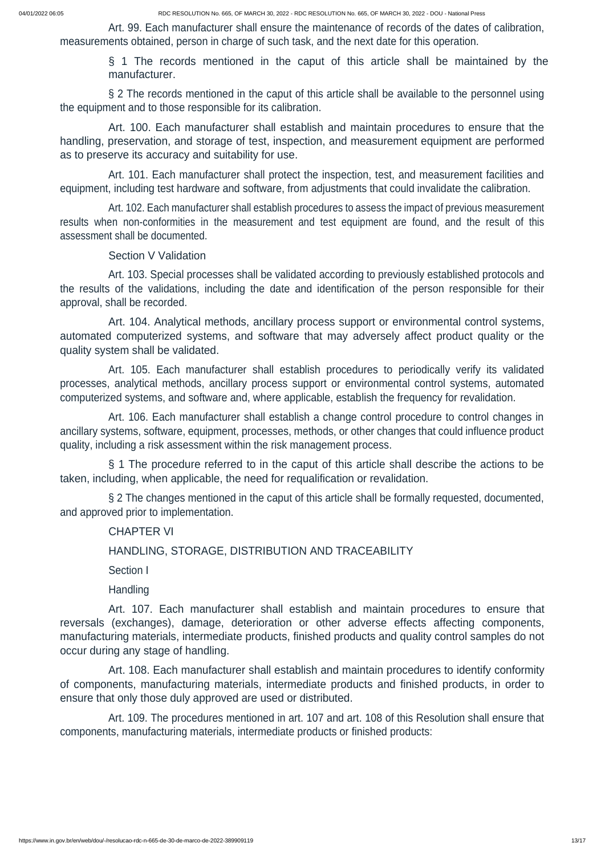Art. 99. Each manufacturer shall ensure the maintenance of records of the dates of calibration, measurements obtained, person in charge of such task, and the next date for this operation.

> § 1 The records mentioned in the caput of this article shall be maintained by the manufacturer.

§ 2 The records mentioned in the caput of this article shall be available to the personnel using the equipment and to those responsible for its calibration.

Art. 100. Each manufacturer shall establish and maintain procedures to ensure that the handling, preservation, and storage of test, inspection, and measurement equipment are performed as to preserve its accuracy and suitability for use.

Art. 101. Each manufacturer shall protect the inspection, test, and measurement facilities and equipment, including test hardware and software, from adjustments that could invalidate the calibration.

Art. 102. Each manufacturer shall establish procedures to assess the impact of previous measurement results when non-conformities in the measurement and test equipment are found, and the result of this assessment shall be documented.

Section V Validation

Art. 103. Special processes shall be validated according to previously established protocols and the results of the validations, including the date and identification of the person responsible for their approval, shall be recorded.

Art. 104. Analytical methods, ancillary process support or environmental control systems, automated computerized systems, and software that may adversely affect product quality or the quality system shall be validated.

Art. 105. Each manufacturer shall establish procedures to periodically verify its validated processes, analytical methods, ancillary process support or environmental control systems, automated computerized systems, and software and, where applicable, establish the frequency for revalidation.

Art. 106. Each manufacturer shall establish a change control procedure to control changes in ancillary systems, software, equipment, processes, methods, or other changes that could influence product quality, including a risk assessment within the risk management process.

§ 1 The procedure referred to in the caput of this article shall describe the actions to be taken, including, when applicable, the need for requalification or revalidation.

§ 2 The changes mentioned in the caput of this article shall be formally requested, documented, and approved prior to implementation.

CHAPTER VI

HANDLING, STORAGE, DISTRIBUTION AND TRACEABILITY

Section I

**Handling** 

Art. 107. Each manufacturer shall establish and maintain procedures to ensure that reversals (exchanges), damage, deterioration or other adverse effects affecting components, manufacturing materials, intermediate products, finished products and quality control samples do not

occur during any stage of handling.

Art. 108. Each manufacturer shall establish and maintain procedures to identify conformity of components, manufacturing materials, intermediate products and finished products, in order to ensure that only those duly approved are used or distributed.

Art. 109. The procedures mentioned in art. 107 and art. 108 of this Resolution shall ensure that components, manufacturing materials, intermediate products or finished products: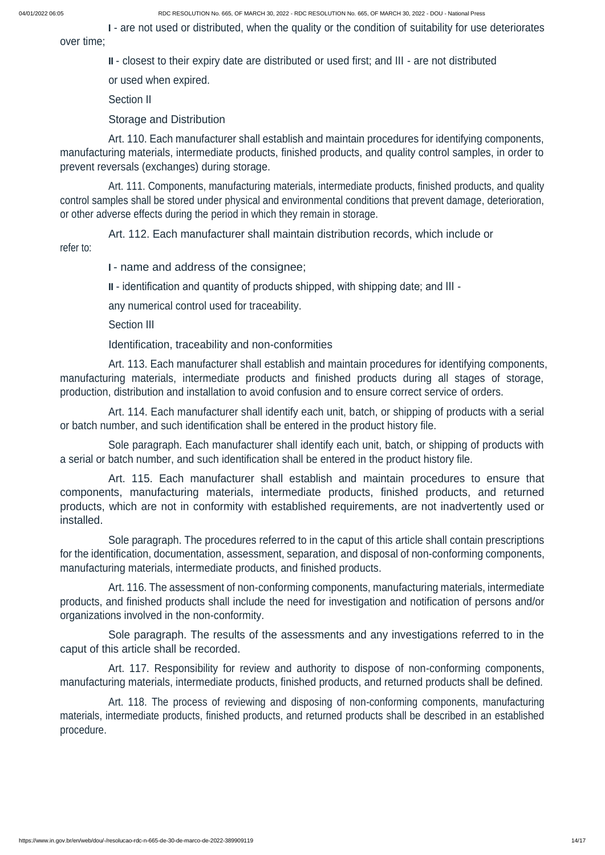<sup>I</sup> - are not used or distributed, when the quality or the condition of suitability for use deteriorates over time;

II - closest to their expiry date are distributed or used first; and III - are not distributed

or used when expired.

Section II

Storage and Distribution

Art. 110. Each manufacturer shall establish and maintain procedures for identifying components, manufacturing materials, intermediate products, finished products, and quality control samples, in order to prevent reversals (exchanges) during storage.

Art. 111. Components, manufacturing materials, intermediate products, finished products, and quality control samples shall be stored under physical and environmental conditions that prevent damage, deterioration, or other adverse effects during the period in which they remain in storage.

Art. 112. Each manufacturer shall maintain distribution records, which include or refer to:

<sup>I</sup> - name and address of the consignee;

II - identification and quantity of products shipped, with shipping date; and III -

any numerical control used for traceability.

Section III

Identification, traceability and non-conformities

Art. 113. Each manufacturer shall establish and maintain procedures for identifying components, manufacturing materials, intermediate products and finished products during all stages of storage, production, distribution and installation to avoid confusion and to ensure correct service of orders.

Art. 114. Each manufacturer shall identify each unit, batch, or shipping of products with a serial or batch number, and such identification shall be entered in the product history file.

Sole paragraph. Each manufacturer shall identify each unit, batch, or shipping of products with a serial or batch number, and such identification shall be entered in the product history file.

Art. 115. Each manufacturer shall establish and maintain procedures to ensure that components, manufacturing materials, intermediate products, finished products, and returned products, which are not in conformity with established requirements, are not inadvertently used or installed.

Sole paragraph. The procedures referred to in the caput of this article shall contain prescriptions for the identification, documentation, assessment, separation, and disposal of non-conforming components, manufacturing materials, intermediate products, and finished products.

Art. 116. The assessment of non-conforming components, manufacturing materials, intermediate products, and finished products shall include the need for investigation and notification of persons and/or organizations involved in the non-conformity.

Sole paragraph. The results of the assessments and any investigations referred to in the

#### caput of this article shall be recorded.

Art. 117. Responsibility for review and authority to dispose of non-conforming components, manufacturing materials, intermediate products, finished products, and returned products shall be defined.

Art. 118. The process of reviewing and disposing of non-conforming components, manufacturing materials, intermediate products, finished products, and returned products shall be described in an established procedure.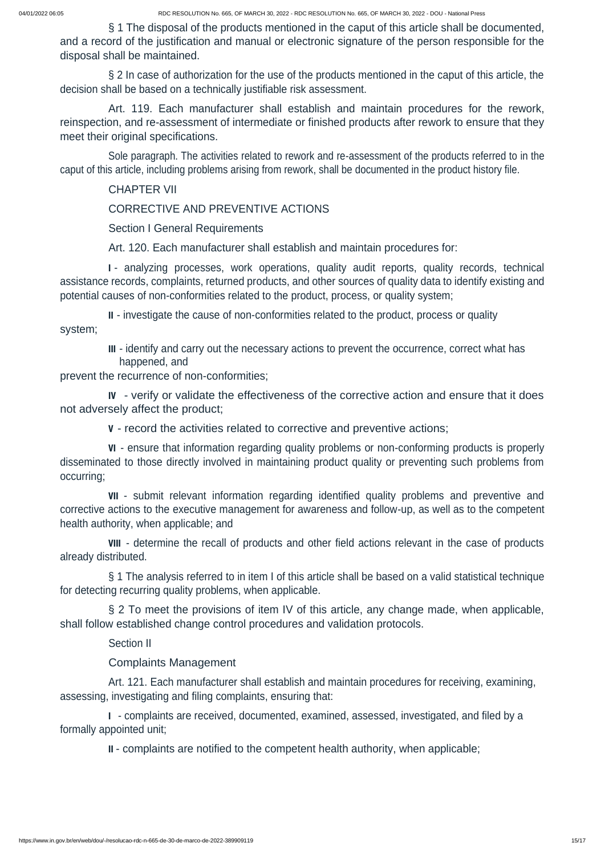§ 2 In case of authorization for the use of the products mentioned in the caput of this article, the decision shall be based on a technically justifiable risk assessment.

§ 1 The disposal of the products mentioned in the caput of this article shall be documented, and a record of the justification and manual or electronic signature of the person responsible for the disposal shall be maintained.

Art. 119. Each manufacturer shall establish and maintain procedures for the rework, reinspection, and re-assessment of intermediate or finished products after rework to ensure that they meet their original specifications.

Sole paragraph. The activities related to rework and re-assessment of the products referred to in the caput of this article, including problems arising from rework, shall be documented in the product history file.

CHAPTER VII

CORRECTIVE AND PREVENTIVE ACTIONS

Section I General Requirements

Art. 120. Each manufacturer shall establish and maintain procedures for:

<sup>I</sup> - analyzing processes, work operations, quality audit reports, quality records, technical assistance records, complaints, returned products, and other sources of quality data to identify existing and potential causes of non-conformities related to the product, process, or quality system;

§ 2 To meet the provisions of item IV of this article, any change made, when applicable, shall follow established change control procedures and validation protocols.

II - investigate the cause of non-conformities related to the product, process or quality system;

> III - identify and carry out the necessary actions to prevent the occurrence, correct what has happened, and

prevent the recurrence of non-conformities;

IV - verify or validate the effectiveness of the corrective action and ensure that it does not adversely affect the product;

<sup>V</sup> - record the activities related to corrective and preventive actions;

VI - ensure that information regarding quality problems or non-conforming products is properly disseminated to those directly involved in maintaining product quality or preventing such problems from occurring;

VII - submit relevant information regarding identified quality problems and preventive and corrective actions to the executive management for awareness and follow-up, as well as to the competent health authority, when applicable; and

VIII - determine the recall of products and other field actions relevant in the case of products already distributed.

§ 1 The analysis referred to in item I of this article shall be based on a valid statistical technique for detecting recurring quality problems, when applicable.

Section II

### Complaints Management

Art. 121. Each manufacturer shall establish and maintain procedures for receiving, examining, assessing, investigating and filing complaints, ensuring that:

<sup>I</sup> - complaints are received, documented, examined, assessed, investigated, and filed by a formally appointed unit;

II - complaints are notified to the competent health authority, when applicable;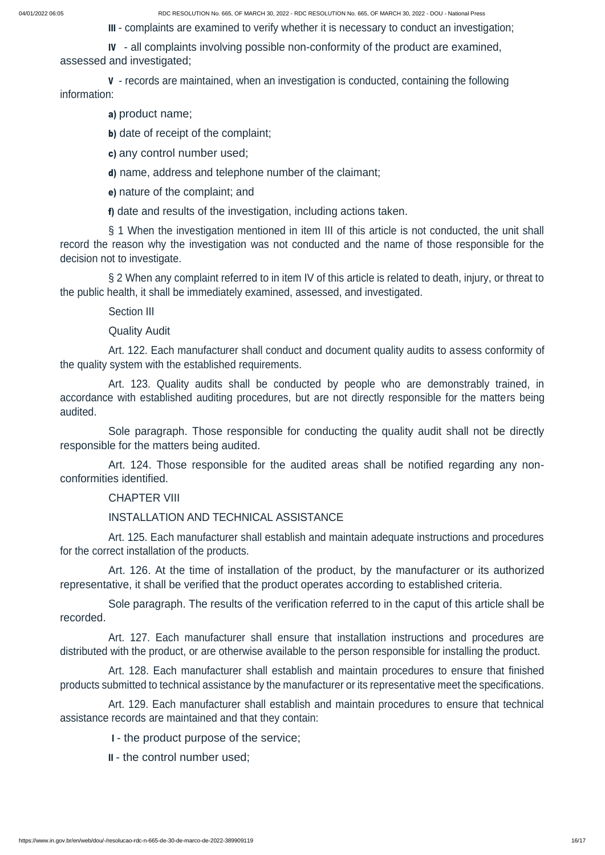III - complaints are examined to verify whether it is necessary to conduct an investigation;

IV - all complaints involving possible non-conformity of the product are examined, assessed and investigated;

<sup>V</sup> - records are maintained, when an investigation is conducted, containing the following information:

§ 1 When the investigation mentioned in item III of this article is not conducted, the unit shall record the reason why the investigation was not conducted and the name of those responsible for the decision not to investigate.

a) product name;

b) date of receipt of the complaint;

c) any control number used;

d) name, address and telephone number of the claimant;

e) nature of the complaint; and

f) date and results of the investigation, including actions taken.

§ 2 When any complaint referred to in item IV of this article is related to death, injury, or threat to the public health, it shall be immediately examined, assessed, and investigated.

Section III

Quality Audit

Art. 122. Each manufacturer shall conduct and document quality audits to assess conformity of the quality system with the established requirements.

Art. 123. Quality audits shall be conducted by people who are demonstrably trained, in accordance with established auditing procedures, but are not directly responsible for the matters being audited.

Sole paragraph. Those responsible for conducting the quality audit shall not be directly responsible for the matters being audited.

Art. 124. Those responsible for the audited areas shall be notified regarding any nonconformities identified.

CHAPTER VIII

# INSTALLATION AND TECHNICAL ASSISTANCE

Art. 125. Each manufacturer shall establish and maintain adequate instructions and procedures for the correct installation of the products.

Art. 126. At the time of installation of the product, by the manufacturer or its authorized representative, it shall be verified that the product operates according to established criteria.

Sole paragraph. The results of the verification referred to in the caput of this article shall be recorded.

Art. 127. Each manufacturer shall ensure that installation instructions and procedures are

distributed with the product, or are otherwise available to the person responsible for installing the product.

Art. 128. Each manufacturer shall establish and maintain procedures to ensure that finished products submitted to technical assistance by the manufacturer or its representative meet the specifications.

Art. 129. Each manufacturer shall establish and maintain procedures to ensure that technical assistance records are maintained and that they contain:

- <sup>I</sup> the product purpose of the service;
- II the control number used;